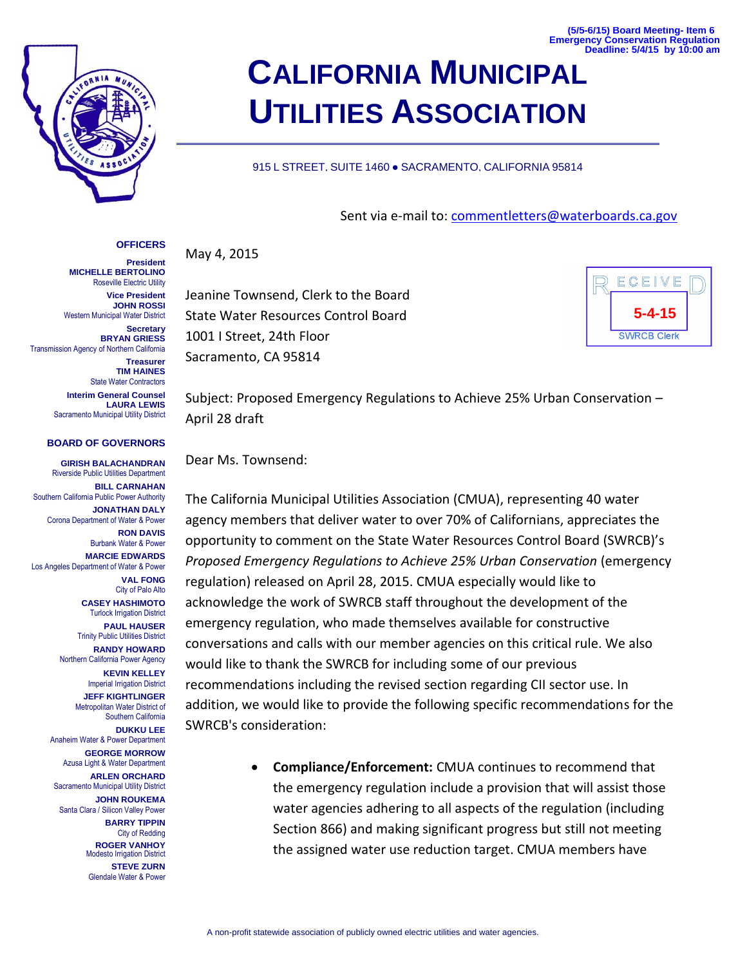**(5/5-6/15) Board Meeting- Item 6 Emergency Conservation Regulation Deadline: 5/4/15 by 10:00 am**

## **OFFICERS**

**President MICHELLE BERTOLINO** Roseville Electric Utility

**Vice President JOHN ROSSI** Western Municipal Water District

**Secretary BRYAN GRIESS** Transmission Agency of Northern California

> **Treasurer TIM HAINES** State Water Contractors **Interim General Counsel LAURA LEWIS** Sacramento Municipal Utility District

### **BOARD OF GOVERNORS**

**GIRISH BALACHANDRAN** Riverside Public Utilities Department **BILL CARNAHAN** Southern California Public Power Authority **JONATHAN DALY** Corona Department of Water & Power **RON DAVIS** Burbank Water & Power **MARCIE EDWARDS** Los Angeles Department of Water & Power **VAL FONG** City of Palo Alto **CASEY HASHIMOTO**

Turlock Irrigation District **PAUL HAUSER** Trinity Public Utilities District **RANDY HOWARD** Northern California Power Agency

**KEVIN KELLEY** Imperial Irrigation District **JEFF KIGHTLINGER** Metropolitan Water District of Southern California **DUKKU LEE** Anaheim Water & Power Department **GEORGE MORROW** Azusa Light & Water Department **ARLEN ORCHARD** Sacramento Municipal Utility District **JOHN ROUKEMA** Santa Clara / Silicon Valley Power **BARRY TIPPIN**

City of Redding **ROGER VANHOY** Modesto Irrigation District **STEVE ZURN** Glendale Water & Power

# **CALIFORNIA MUNICIPAL UTILITIES ASSOCIATION**

### 915 L STREET, SUITE 1460 · SACRAMENTO, CALIFORNIA 95814

# Sent via e-mail to: [commentletters@waterboards.ca.gov](mailto:commentletters@waterboards.ca.gov)

May 4, 2015

Jeanine Townsend, Clerk to the Board State Water Resources Control Board 1001 I Street, 24th Floor Sacramento, CA 95814



Subject: Proposed Emergency Regulations to Achieve 25% Urban Conservation – April 28 draft

Dear Ms. Townsend:

The California Municipal Utilities Association (CMUA), representing 40 water agency members that deliver water to over 70% of Californians, appreciates the opportunity to comment on the State Water Resources Control Board (SWRCB)'s *Proposed Emergency Regulations to Achieve 25% Urban Conservation* (emergency regulation) released on April 28, 2015. CMUA especially would like to acknowledge the work of SWRCB staff throughout the development of the emergency regulation, who made themselves available for constructive conversations and calls with our member agencies on this critical rule. We also would like to thank the SWRCB for including some of our previous recommendations including the revised section regarding CII sector use. In addition, we would like to provide the following specific recommendations for the SWRCB's consideration:

> **Compliance/Enforcement:** CMUA continues to recommend that the emergency regulation include a provision that will assist those water agencies adhering to all aspects of the regulation (including Section 866) and making significant progress but still not meeting the assigned water use reduction target. CMUA members have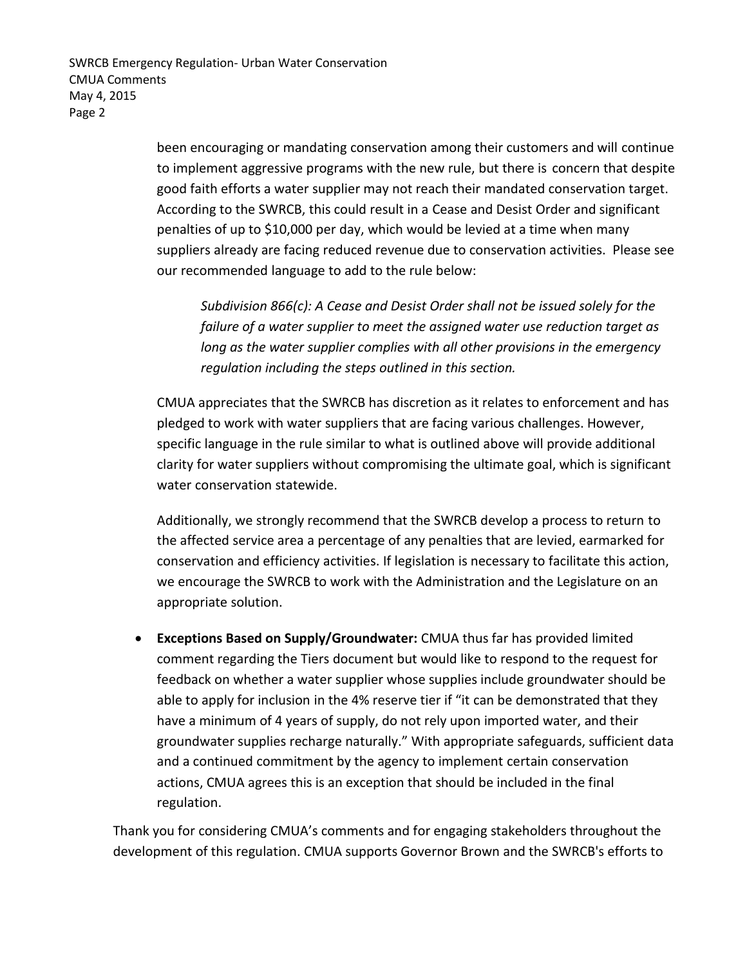SWRCB Emergency Regulation- Urban Water Conservation CMUA Comments May 4, 2015 Page 2

> been encouraging or mandating conservation among their customers and will continue to implement aggressive programs with the new rule, but there is concern that despite good faith efforts a water supplier may not reach their mandated conservation target. According to the SWRCB, this could result in a Cease and Desist Order and significant penalties of up to \$10,000 per day, which would be levied at a time when many suppliers already are facing reduced revenue due to conservation activities. Please see our recommended language to add to the rule below:

*Subdivision 866(c): A Cease and Desist Order shall not be issued solely for the failure of a water supplier to meet the assigned water use reduction target as long as the water supplier complies with all other provisions in the emergency regulation including the steps outlined in this section.* 

CMUA appreciates that the SWRCB has discretion as it relates to enforcement and has pledged to work with water suppliers that are facing various challenges. However, specific language in the rule similar to what is outlined above will provide additional clarity for water suppliers without compromising the ultimate goal, which is significant water conservation statewide.

Additionally, we strongly recommend that the SWRCB develop a process to return to the affected service area a percentage of any penalties that are levied, earmarked for conservation and efficiency activities. If legislation is necessary to facilitate this action, we encourage the SWRCB to work with the Administration and the Legislature on an appropriate solution.

 **Exceptions Based on Supply/Groundwater:** CMUA thus far has provided limited comment regarding the Tiers document but would like to respond to the request for feedback on whether a water supplier whose supplies include groundwater should be able to apply for inclusion in the 4% reserve tier if "it can be demonstrated that they have a minimum of 4 years of supply, do not rely upon imported water, and their groundwater supplies recharge naturally." With appropriate safeguards, sufficient data and a continued commitment by the agency to implement certain conservation actions, CMUA agrees this is an exception that should be included in the final regulation.

Thank you for considering CMUA's comments and for engaging stakeholders throughout the development of this regulation. CMUA supports Governor Brown and the SWRCB's efforts to